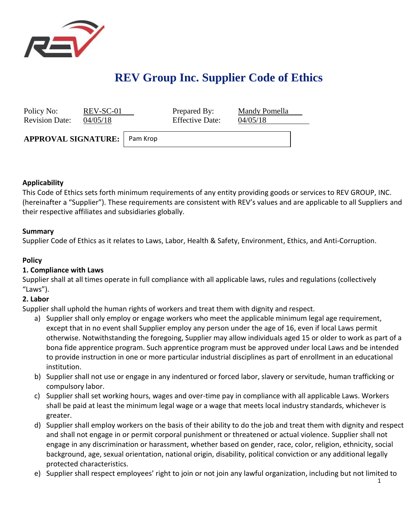

# **REV Group Inc. Supplier Code of Ethics**

| Policy No:<br><b>Revision Date:</b> | REV-SC-01<br>04/05/18 |          | Prepared By:<br><b>Effective Date:</b> | Mandy Pomella<br>04/05/18 |  |
|-------------------------------------|-----------------------|----------|----------------------------------------|---------------------------|--|
| <b>APPROVAL SIGNATURE:</b>          |                       | Pam Krop |                                        |                           |  |

#### **Applicability**

This Code of Ethics sets forth minimum requirements of any entity providing goods or services to REV GROUP, INC. (hereinafter a "Supplier"). These requirements are consistent with REV's values and are applicable to all Suppliers and their respective affiliates and subsidiaries globally.

#### **Summary**

Supplier Code of Ethics as it relates to Laws, Labor, Health & Safety, Environment, Ethics, and Anti-Corruption.

#### **Policy**

## **1. Compliance with Laws**

Supplier shall at all times operate in full compliance with all applicable laws, rules and regulations (collectively "Laws").

## **2. Labor**

Supplier shall uphold the human rights of workers and treat them with dignity and respect.

- a) Supplier shall only employ or engage workers who meet the applicable minimum legal age requirement, except that in no event shall Supplier employ any person under the age of 16, even if local Laws permit otherwise. Notwithstanding the foregoing, Supplier may allow individuals aged 15 or older to work as part of a bona fide apprentice program. Such apprentice program must be approved under local Laws and be intended to provide instruction in one or more particular industrial disciplines as part of enrollment in an educational institution.
- b) Supplier shall not use or engage in any indentured or forced labor, slavery or servitude, human trafficking or compulsory labor.
- c) Supplier shall set working hours, wages and over-time pay in compliance with all applicable Laws. Workers shall be paid at least the minimum legal wage or a wage that meets local industry standards, whichever is greater.
- d) Supplier shall employ workers on the basis of their ability to do the job and treat them with dignity and respect and shall not engage in or permit corporal punishment or threatened or actual violence. Supplier shall not engage in any discrimination or harassment, whether based on gender, race, color, religion, ethnicity, social background, age, sexual orientation, national origin, disability, political conviction or any additional legally protected characteristics.
- e) Supplier shall respect employees' right to join or not join any lawful organization, including but not limited to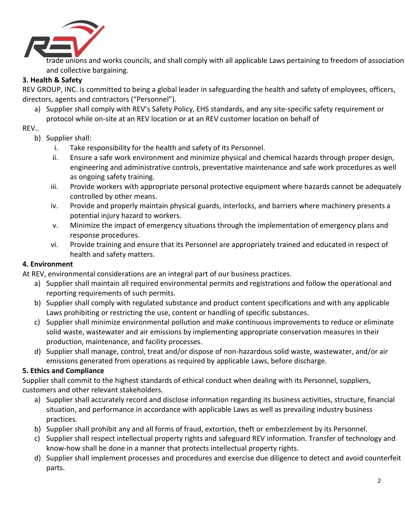

trade unions and works councils, and shall comply with all applicable Laws pertaining to freedom of association and collective bargaining.

# **3. Health & Safety**

REV GROUP, INC. is committed to being a global leader in safeguarding the health and safety of employees, officers, directors, agents and contractors ("Personnel").

a) Supplier shall comply with REV's Safety Policy, EHS standards, and any site-specific safety requirement or protocol while on-site at an REV location or at an REV customer location on behalf of

#### REV..

- b) Supplier shall:
	- i. Take responsibility for the health and safety of its Personnel.
	- ii. Ensure a safe work environment and minimize physical and chemical hazards through proper design, engineering and administrative controls, preventative maintenance and safe work procedures as well as ongoing safety training.
	- iii. Provide workers with appropriate personal protective equipment where hazards cannot be adequately controlled by other means.
	- iv. Provide and properly maintain physical guards, interlocks, and barriers where machinery presents a potential injury hazard to workers.
	- v. Minimize the impact of emergency situations through the implementation of emergency plans and response procedures.
	- vi. Provide training and ensure that its Personnel are appropriately trained and educated in respect of health and safety matters.

## **4. Environment**

At REV, environmental considerations are an integral part of our business practices.

- a) Supplier shall maintain all required environmental permits and registrations and follow the operational and reporting requirements of such permits.
- b) Supplier shall comply with regulated substance and product content specifications and with any applicable Laws prohibiting or restricting the use, content or handling of specific substances.
- c) Supplier shall minimize environmental pollution and make continuous improvements to reduce or eliminate solid waste, wastewater and air emissions by implementing appropriate conservation measures in their production, maintenance, and facility processes.
- d) Supplier shall manage, control, treat and/or dispose of non-hazardous solid waste, wastewater, and/or air emissions generated from operations as required by applicable Laws, before discharge.

## **5. Ethics and Compliance**

Supplier shall commit to the highest standards of ethical conduct when dealing with its Personnel, suppliers, customers and other relevant stakeholders.

- a) Supplier shall accurately record and disclose information regarding its business activities, structure, financial situation, and performance in accordance with applicable Laws as well as prevailing industry business practices.
- b) Supplier shall prohibit any and all forms of fraud, extortion, theft or embezzlement by its Personnel.
- c) Supplier shall respect intellectual property rights and safeguard REV information. Transfer of technology and know-how shall be done in a manner that protects intellectual property rights.
- d) Supplier shall implement processes and procedures and exercise due diligence to detect and avoid counterfeit parts.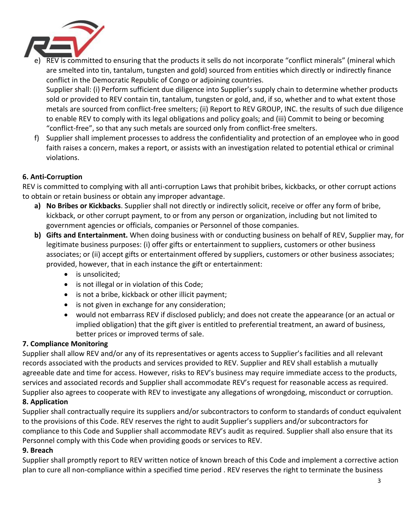

REV is committed to ensuring that the products it sells do not incorporate "conflict minerals" (mineral which are smelted into tin, tantalum, tungsten and gold) sourced from entities which directly or indirectly finance conflict in the Democratic Republic of Congo or adjoining countries.

Supplier shall: (i) Perform sufficient due diligence into Supplier's supply chain to determine whether products sold or provided to REV contain tin, tantalum, tungsten or gold, and, if so, whether and to what extent those metals are sourced from conflict-free smelters; (ii) Report to REV GROUP, INC. the results of such due diligence to enable REV to comply with its legal obligations and policy goals; and (iii) Commit to being or becoming "conflict-free", so that any such metals are sourced only from conflict-free smelters.

f) Supplier shall implement processes to address the confidentiality and protection of an employee who in good faith raises a concern, makes a report, or assists with an investigation related to potential ethical or criminal violations.

## **6. Anti-Co**r**ruption**

REV is committed to complying with all anti-corruption Laws that prohibit bribes, kickbacks, or other corrupt actions to obtain or retain business or obtain any improper advantage.

- **a) No Bribes or Kickbacks**. Supplier shall not directly or indirectly solicit, receive or offer any form of bribe, kickback, or other corrupt payment, to or from any person or organization, including but not limited to government agencies or officials, companies or Personnel of those companies.
- **b) Gifts and Entertainment.** When doing business with or conducting business on behalf of REV, Supplier may, for legitimate business purposes: (i) offer gifts or entertainment to suppliers, customers or other business associates; or (ii) accept gifts or entertainment offered by suppliers, customers or other business associates; provided, however, that in each instance the gift or entertainment:
	- is unsolicited;
	- is not illegal or in violation of this Code;
	- is not a bribe, kickback or other illicit payment;
	- is not given in exchange for any consideration;
	- would not embarrass REV if disclosed publicly; and does not create the appearance (or an actual or implied obligation) that the gift giver is entitled to preferential treatment, an award of business, better prices or improved terms of sale.

# **7. Compliance Monitoring**

Supplier shall allow REV and/or any of its representatives or agents access to Supplier's facilities and all relevant records associated with the products and services provided to REV. Supplier and REV shall establish a mutually agreeable date and time for access. However, risks to REV's business may require immediate access to the products, services and associated records and Supplier shall accommodate REV's request for reasonable access as required. Supplier also agrees to cooperate with REV to investigate any allegations of wrongdoing, misconduct or corruption.

# **8. Application**

Supplier shall contractually require its suppliers and/or subcontractors to conform to standards of conduct equivalent to the provisions of this Code. REV reserves the right to audit Supplier's suppliers and/or subcontractors for compliance to this Code and Supplier shall accommodate REV's audit as required. Supplier shall also ensure that its Personnel comply with this Code when providing goods or services to REV.

## **9. Breach**

Supplier shall promptly report to REV written notice of known breach of this Code and implement a corrective action plan to cure all non-compliance within a specified time period . REV reserves the right to terminate the business